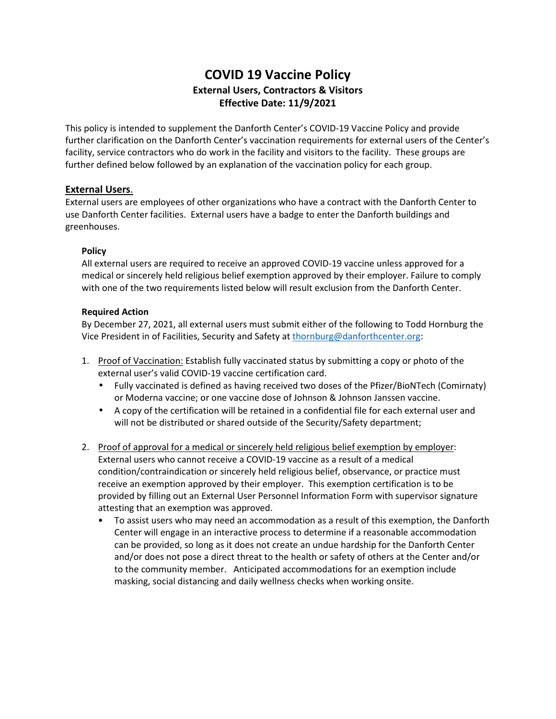# **COVID 19 Vaccine Policy External Users, Contractors & Visitors Effective Date: 11/9/2021**

This policy is intended to supplement the Danforth Center's COVID-19 Vaccine Policy and provide further clarification on the Danforth Center's vaccination requirements for external users of the Center's facility, service contractors who do work in the facility and visitors to the facility. These groups are further defined below followed by an explanation of the vaccination policy for each group.

## **External Users**.

External users are employees of other organizations who have a contract with the Danforth Center to use Danforth Center facilities. External users have a badge to enter the Danforth buildings and greenhouses.

## **Policy**

All external users are required to receive an approved COVID-19 vaccine unless approved for a medical or sincerely held religious belief exemption approved by their employer. Failure to comply with one of the two requirements listed below will result exclusion from the Danforth Center.

## **Required Action**

By December 27, 2021, all external users must submit either of the following to Todd Hornburg the Vice President in of Facilities, Security and Safety at thornburg@danforthcenter.org:

- 1. Proof of Vaccination: Establish fully vaccinated status by submitting a copy or photo of the external user's valid COVID-19 vaccine certification card.
	- Fully vaccinated is defined as having received two doses of the Pfizer/BioNTech (Comirnaty) or Moderna vaccine; or one vaccine dose of Johnson & Johnson Janssen vaccine.
	- A copy of the certification will be retained in a confidential file for each external user and will not be distributed or shared outside of the Security/Safety department;
- 2. Proof of approval for a medical or sincerely held religious belief exemption by employer: External users who cannot receive a COVID-19 vaccine as a result of a medical condition/contraindication or sincerely held religious belief, observance, or practice must receive an exemption approved by their employer. This exemption certification is to be provided by filling out an External User Personnel Information Form with supervisor signature attesting that an exemption was approved.
	- To assist users who may need an accommodation as a result of this exemption, the Danforth Center will engage in an interactive process to determine if a reasonable accommodation can be provided, so long as it does not create an undue hardship for the Danforth Center and/or does not pose a direct threat to the health or safety of others at the Center and/or to the community member. Anticipated accommodations for an exemption include masking, social distancing and daily wellness checks when working onsite.